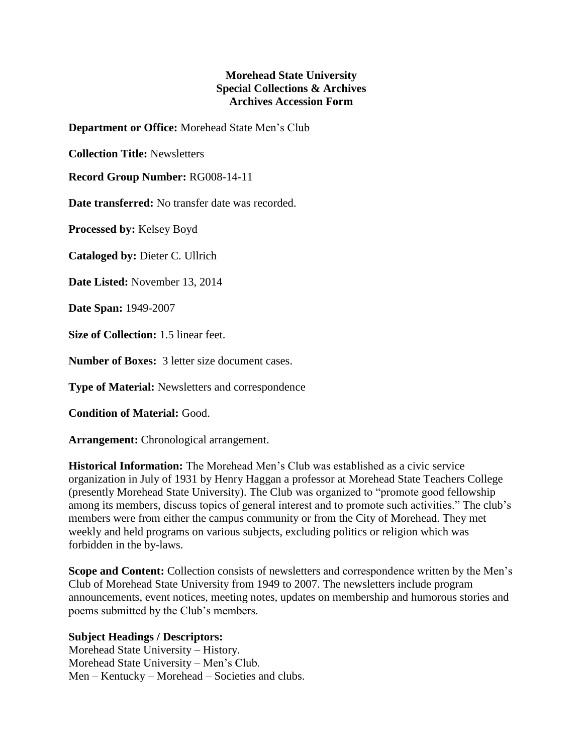## **Morehead State University Special Collections & Archives Archives Accession Form**

**Department or Office:** Morehead State Men's Club

**Collection Title:** Newsletters

**Record Group Number:** RG008-14-11

**Date transferred:** No transfer date was recorded.

**Processed by:** Kelsey Boyd

**Cataloged by:** Dieter C. Ullrich

**Date Listed:** November 13, 2014

**Date Span:** 1949-2007

**Size of Collection:** 1.5 linear feet.

**Number of Boxes:** 3 letter size document cases.

**Type of Material:** Newsletters and correspondence

**Condition of Material:** Good.

**Arrangement:** Chronological arrangement.

**Historical Information:** The Morehead Men's Club was established as a civic service organization in July of 1931 by Henry Haggan a professor at Morehead State Teachers College (presently Morehead State University). The Club was organized to "promote good fellowship among its members, discuss topics of general interest and to promote such activities." The club's members were from either the campus community or from the City of Morehead. They met weekly and held programs on various subjects, excluding politics or religion which was forbidden in the by-laws.

**Scope and Content:** Collection consists of newsletters and correspondence written by the Men's Club of Morehead State University from 1949 to 2007. The newsletters include program announcements, event notices, meeting notes, updates on membership and humorous stories and poems submitted by the Club's members.

## **Subject Headings / Descriptors:**

Morehead State University – History. Morehead State University – Men's Club. Men – Kentucky – Morehead – Societies and clubs.